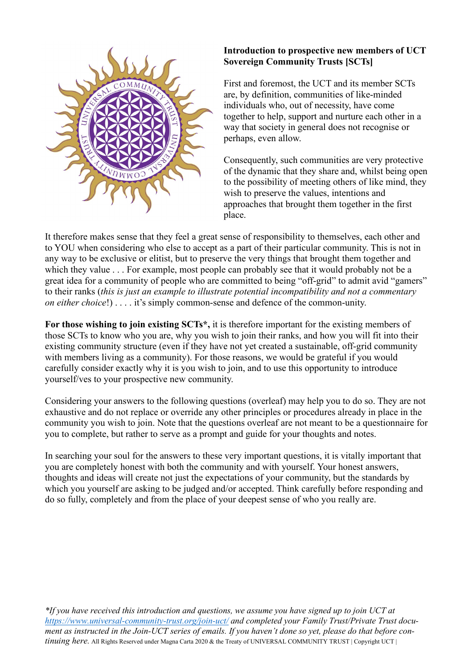

## **Introduction to prospective new members of UCT Sovereign Community Trusts [SCTs]**

First and foremost, the UCT and its member SCTs are, by definition, communities of like-minded individuals who, out of necessity, have come together to help, support and nurture each other in a way that society in general does not recognise or perhaps, even allow.

Consequently, such communities are very protective of the dynamic that they share and, whilst being open to the possibility of meeting others of like mind, they wish to preserve the values, intentions and approaches that brought them together in the first place.

It therefore makes sense that they feel a great sense of responsibility to themselves, each other and to YOU when considering who else to accept as a part of their particular community. This is not in any way to be exclusive or elitist, but to preserve the very things that brought them together and which they value . . . For example, most people can probably see that it would probably not be a great idea for a community of people who are committed to being "off-grid" to admit avid "gamers" to their ranks (*this is just an example to illustrate potential incompatibility and not a commentary on either choice*!) . . . . it's simply common-sense and defence of the common-unity.

**For those wishing to join existing SCTs\*,** it is therefore important for the existing members of those SCTs to know who you are, why you wish to join their ranks, and how you will fit into their existing community structure (even if they have not yet created a sustainable, off-grid community with members living as a community). For those reasons, we would be grateful if you would carefully consider exactly why it is you wish to join, and to use this opportunity to introduce yourself/ves to your prospective new community.

Considering your answers to the following questions (overleaf) may help you to do so. They are not exhaustive and do not replace or override any other principles or procedures already in place in the community you wish to join. Note that the questions overleaf are not meant to be a questionnaire for you to complete, but rather to serve as a prompt and guide for your thoughts and notes.

In searching your soul for the answers to these very important questions, it is vitally important that you are completely honest with both the community and with yourself. Your honest answers, thoughts and ideas will create not just the expectations of your community, but the standards by which you yourself are asking to be judged and/or accepted. Think carefully before responding and do so fully, completely and from the place of your deepest sense of who you really are.

*\*If you have received this introduction and questions, we assume you have signed up to join UCT at <https://www.universal-community-trust.org/join-uct/> and completed your Family Trust/Private Trust document as instructed in the Join-UCT series of emails. If you haven't done so yet, please do that before continuing here.* All Rights Reserved under Magna Carta 2020 & the Treaty of UNIVERSAL COMMUNITY TRUST | Copyright UCT |